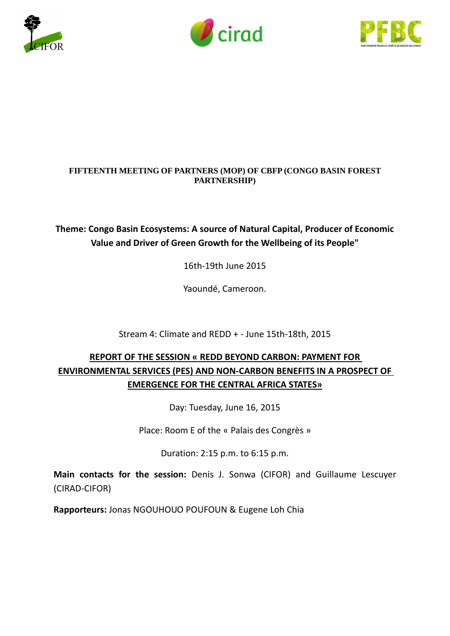





### **FIFTEENTH MEETING OF PARTNERS (MOP) OF CBFP (CONGO BASIN FOREST PARTNERSHIP)**

## **Theme: Congo Basin Ecosystems: A source of Natural Capital, Producer of Economic Value and Driver of Green Growth for the Wellbeing of its People"**

16th-19th June 2015

Yaoundé, Cameroon.

Stream 4: Climate and REDD + - June 15th-18th, 2015

# **REPORT OF THE SESSION « REDD BEYOND CARBON: PAYMENT FOR ENVIRONMENTAL SERVICES (PES) AND NON-CARBON BENEFITS IN A PROSPECT OF EMERGENCE FOR THE CENTRAL AFRICA STATES»**

Day: Tuesday, June 16, 2015

Place: Room E of the « Palais des Congrès »

Duration: 2:15 p.m. to 6:15 p.m.

**Main contacts for the session:** Denis J. Sonwa (CIFOR) and Guillaume Lescuyer (CIRAD-CIFOR)

**Rapporteurs:** Jonas NGOUHOUO POUFOUN & Eugene Loh Chia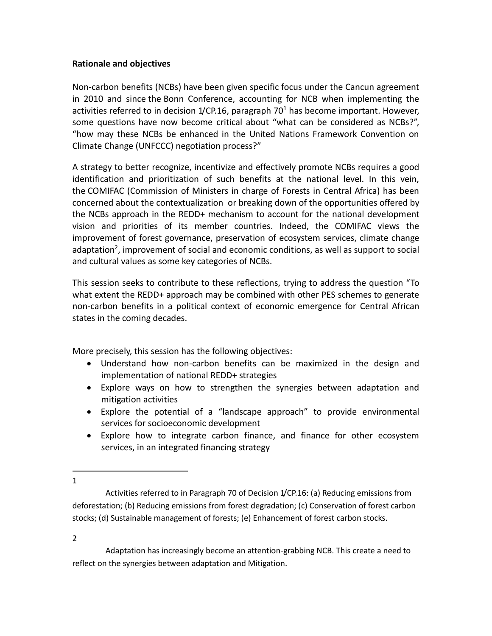#### **Rationale and objectives**

Non-carbon benefits (NCBs) have been given specific focus under the Cancun agreement in 2010 and since the Bonn Conference, accounting for NCB when implementing the activities referred to in decision  $1/CP.16$ , paragraph 70<sup>1</sup> has become important. However, some questions have now become critical about "what can be considered as NCBs?", "how may these NCBs be enhanced in the United Nations Framework Convention on Climate Change (UNFCCC) negotiation process?"

A strategy to better recognize, incentivize and effectively promote NCBs requires a good identification and prioritization of such benefits at the national level. In this vein, the COMIFAC (Commission of Ministers in charge of Forests in Central Africa) has been concerned about the contextualization or breaking down of the opportunities offered by the NCBs approach in the REDD+ mechanism to account for the national development vision and priorities of its member countries. Indeed, the COMIFAC views the improvement of forest governance, preservation of ecosystem services, climate change adaptation<sup>2</sup>, improvement of social and economic conditions, as well as support to social and cultural values as some key categories of NCBs.

This session seeks to contribute to these reflections, trying to address the question "To what extent the REDD+ approach may be combined with other PES schemes to generate non-carbon benefits in a political context of economic emergence for Central African states in the coming decades.

More precisely, this session has the following objectives:

- Understand how non-carbon benefits can be maximized in the design and implementation of national REDD+ strategies
- Explore ways on how to strengthen the synergies between adaptation and mitigation activities
- Explore the potential of a "landscape approach" to provide environmental services for socioeconomic development
- Explore how to integrate carbon finance, and finance for other ecosystem services, in an integrated financing strategy

 $\overline{\phantom{a}}$ 1

 Activities referred to in Paragraph 70 of Decision 1/CP.16: (a) Reducing emissions from deforestation; (b) Reducing emissions from forest degradation; (c) Conservation of forest carbon stocks; (d) Sustainable management of forests; (e) Enhancement of forest carbon stocks.

2

 Adaptation has increasingly become an attention-grabbing NCB. This create a need to reflect on the synergies between adaptation and Mitigation.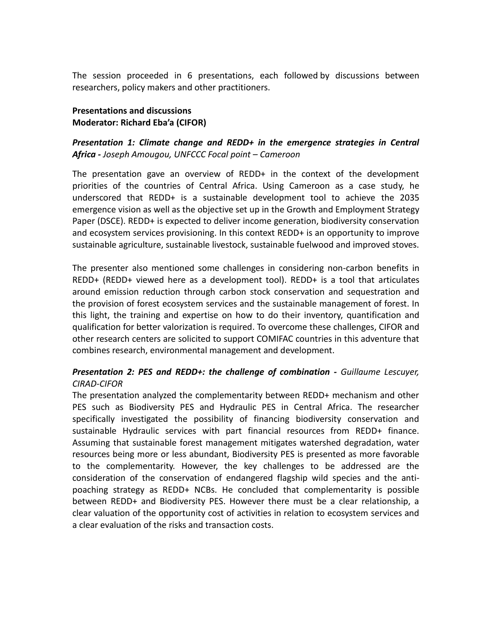The session proceeded in 6 presentations, each followed by discussions between researchers, policy makers and other practitioners.

#### **Presentations and discussions Moderator: Richard Eba'a (CIFOR)**

#### *Presentation 1: Climate change and REDD+ in the emergence strategies in Central Africa - Joseph Amougou, UNFCCC Focal point – Cameroon*

The presentation gave an overview of REDD+ in the context of the development priorities of the countries of Central Africa. Using Cameroon as a case study, he underscored that REDD+ is a sustainable development tool to achieve the 2035 emergence vision as well as the objective set up in the Growth and Employment Strategy Paper (DSCE). REDD+ is expected to deliver income generation, biodiversity conservation and ecosystem services provisioning. In this context REDD+ is an opportunity to improve sustainable agriculture, sustainable livestock, sustainable fuelwood and improved stoves.

The presenter also mentioned some challenges in considering non-carbon benefits in REDD+ (REDD+ viewed here as a development tool). REDD+ is a tool that articulates around emission reduction through carbon stock conservation and sequestration and the provision of forest ecosystem services and the sustainable management of forest. In this light, the training and expertise on how to do their inventory, quantification and qualification for better valorization is required. To overcome these challenges, CIFOR and other research centers are solicited to support COMIFAC countries in this adventure that combines research, environmental management and development.

#### *Presentation 2: PES and REDD+: the challenge of combination - Guillaume Lescuyer, CIRAD-CIFOR*

The presentation analyzed the complementarity between REDD+ mechanism and other PES such as Biodiversity PES and Hydraulic PES in Central Africa. The researcher specifically investigated the possibility of financing biodiversity conservation and sustainable Hydraulic services with part financial resources from REDD+ finance. Assuming that sustainable forest management mitigates watershed degradation, water resources being more or less abundant, Biodiversity PES is presented as more favorable to the complementarity. However, the key challenges to be addressed are the consideration of the conservation of endangered flagship wild species and the antipoaching strategy as REDD+ NCBs. He concluded that complementarity is possible between REDD+ and Biodiversity PES. However there must be a clear relationship, a clear valuation of the opportunity cost of activities in relation to ecosystem services and a clear evaluation of the risks and transaction costs.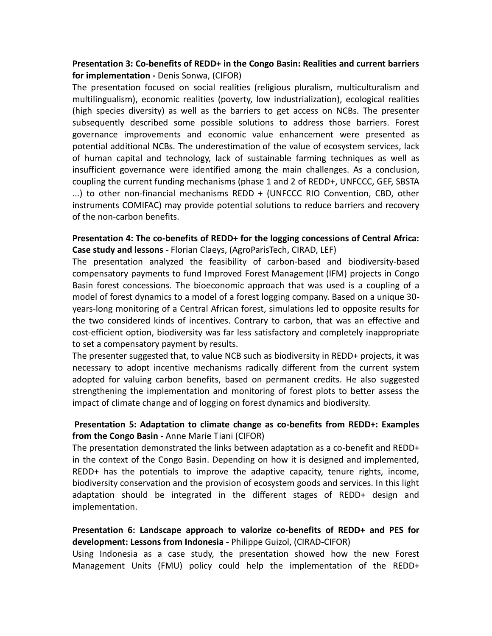#### **Presentation 3: Co-benefits of REDD+ in the Congo Basin: Realities and current barriers for implementation -** Denis Sonwa, (CIFOR)

The presentation focused on social realities (religious pluralism, multiculturalism and multilingualism), economic realities (poverty, low industrialization), ecological realities (high species diversity) as well as the barriers to get access on NCBs. The presenter subsequently described some possible solutions to address those barriers. Forest governance improvements and economic value enhancement were presented as potential additional NCBs. The underestimation of the value of ecosystem services, lack of human capital and technology, lack of sustainable farming techniques as well as insufficient governance were identified among the main challenges. As a conclusion, coupling the current funding mechanisms (phase 1 and 2 of REDD+, UNFCCC, GEF, SBSTA ...) to other non-financial mechanisms REDD + (UNFCCC RIO Convention, CBD, other instruments COMIFAC) may provide potential solutions to reduce barriers and recovery of the non-carbon benefits.

#### **Presentation 4: The co-benefits of REDD+ for the logging concessions of Central Africa: Case study and lessons -** Florian Claeys, (AgroParisTech, CIRAD, LEF)

The presentation analyzed the feasibility of carbon-based and biodiversity-based compensatory payments to fund Improved Forest Management (IFM) projects in Congo Basin forest concessions. The bioeconomic approach that was used is a coupling of a model of forest dynamics to a model of a forest logging company. Based on a unique 30 years-long monitoring of a Central African forest, simulations led to opposite results for the two considered kinds of incentives. Contrary to carbon, that was an effective and cost-efficient option, biodiversity was far less satisfactory and completely inappropriate to set a compensatory payment by results.

The presenter suggested that, to value NCB such as biodiversity in REDD+ projects, it was necessary to adopt incentive mechanisms radically different from the current system adopted for valuing carbon benefits, based on permanent credits. He also suggested strengthening the implementation and monitoring of forest plots to better assess the impact of climate change and of logging on forest dynamics and biodiversity.

#### **Presentation 5: Adaptation to climate change as co-benefits from REDD+: Examples from the Congo Basin -** Anne Marie Tiani (CIFOR)

The presentation demonstrated the links between adaptation as a co-benefit and REDD+ in the context of the Congo Basin. Depending on how it is designed and implemented, REDD+ has the potentials to improve the adaptive capacity, tenure rights, income, biodiversity conservation and the provision of ecosystem goods and services. In this light adaptation should be integrated in the different stages of REDD+ design and implementation.

#### **Presentation 6: Landscape approach to valorize co-benefits of REDD+ and PES for development: Lessons from Indonesia -** Philippe Guizol, (CIRAD-CIFOR)

Using Indonesia as a case study, the presentation showed how the new Forest Management Units (FMU) policy could help the implementation of the REDD+